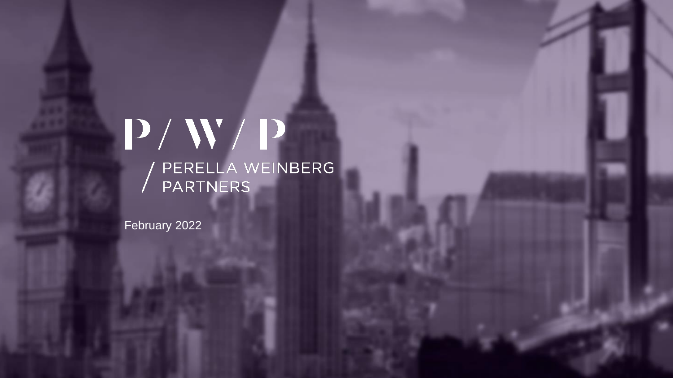# $P/ W/ P$ / PERELLA WEINBERG<br>/ PARTNERS

February 2022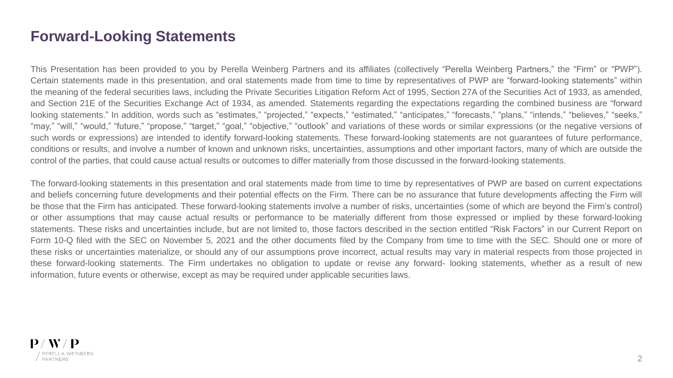### **Forward-Looking Statements**

This Presentation has been provided to you by Perella Weinberg Partners and its affiliates (collectively "Perella Weinberg Partners," the "Firm" or "PWP"). Certain statements made in this presentation, and oral statements made from time to time by representatives of PWP are "forward-looking statements" within the meaning of the federal securities laws, including the Private Securities Litigation Reform Act of 1995, Section 27A of the Securities Act of 1933, as amended, and Section 21E of the Securities Exchange Act of 1934, as amended. Statements regarding the expectations regarding the combined business are "forward looking statements." In addition, words such as "estimates," "projected," "expects," "estimated," "anticipates," "forecasts," "plans," "intends," "believes," "seeks," "may," "will," "would," "future," "propose," "target," "goal," "objective," "outlook" and variations of these words or similar expressions (or the negative versions of such words or expressions) are intended to identify forward-looking statements. These forward-looking statements are not guarantees of future performance, conditions or results, and involve a number of known and unknown risks, uncertainties, assumptions and other important factors, many of which are outside the control of the parties, that could cause actual results or outcomes to differ materially from those discussed in the forward-looking statements.

The forward-looking statements in this presentation and oral statements made from time to time by representatives of PWP are based on current expectations and beliefs concerning future developments and their potential effects on the Firm. There can be no assurance that future developments affecting the Firm will be those that the Firm has anticipated. These forward-looking statements involve a number of risks, uncertainties (some of which are beyond the Firm's control) or other assumptions that may cause actual results or performance to be materially different from those expressed or implied by these forward-looking statements. These risks and uncertainties include, but are not limited to, those factors described in the section entitled "Risk Factors" in our Current Report on Form 10-Q filed with the SEC on November 5, 2021 and the other documents filed by the Company from time to time with the SEC. Should one or more of these risks or uncertainties materialize, or should any of our assumptions prove incorrect, actual results may vary in material respects from those projected in these forward-looking statements. The Firm undertakes no obligation to update or revise any forward- looking statements, whether as a result of new information, future events or otherwise, except as may be required under applicable securities laws.

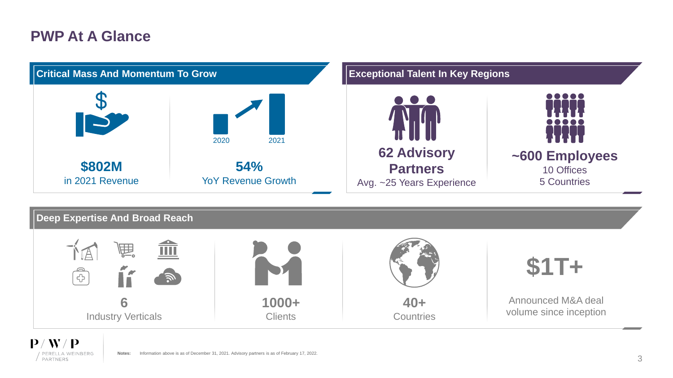### **PWP At A Glance**



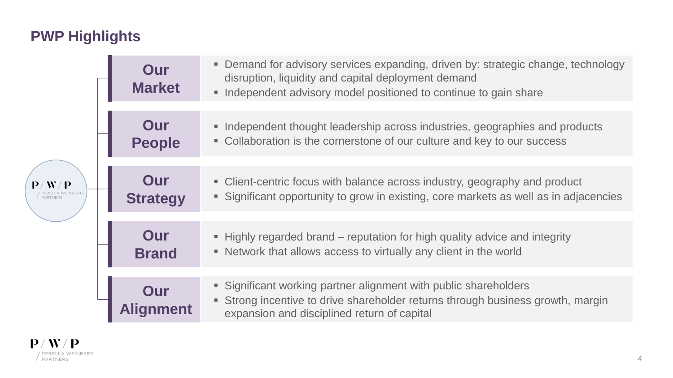# **PWP Highlights**

| $\langle$ W / P | Our<br><b>Market</b>   | Demand for advisory services expanding, driven by: strategic change, technology<br>۰.<br>disruption, liquidity and capital deployment demand<br>Independent advisory model positioned to continue to gain share |
|-----------------|------------------------|-----------------------------------------------------------------------------------------------------------------------------------------------------------------------------------------------------------------|
|                 | Our<br><b>People</b>   | • Independent thought leadership across industries, geographies and products<br>• Collaboration is the cornerstone of our culture and key to our success                                                        |
|                 | Our<br><b>Strategy</b> | • Client-centric focus with balance across industry, geography and product<br>Significant opportunity to grow in existing, core markets as well as in adjacencies                                               |
|                 | Our<br><b>Brand</b>    | • Highly regarded brand – reputation for high quality advice and integrity<br>• Network that allows access to virtually any client in the world                                                                 |
|                 |                        | • Significant working partner alignment with public shareholders<br>• Strong incentive to drive shareholder returns through business growth, margin<br>expansion and disciplined return of capital              |

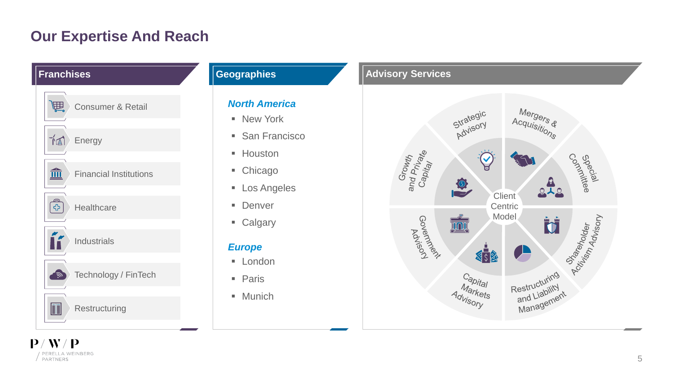### **Our Expertise And Reach**



/ PERELLA WEINBERG<br>/ PARTNERS

### *North America*

- New York
- San Francisco
- Houston
- Chicago
- Los Angeles
- Denver
- Calgary

### *Europe*

- **London**
- Paris
- **■** Munich



5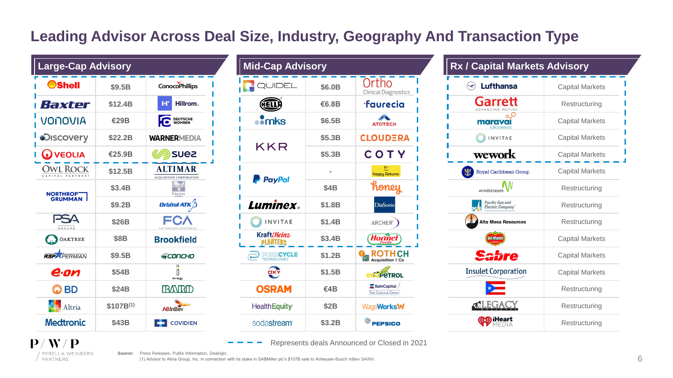# **Leading Advisor Across Deal Size, Industry, Geography And Transaction Type**

| <b>Large-Cap Advisory</b>                   |               |                                                  |  |  |  |  |  |
|---------------------------------------------|---------------|--------------------------------------------------|--|--|--|--|--|
| ®Shell                                      | \$9.5B        | <b>ConocoPhillips</b>                            |  |  |  |  |  |
| Haxter                                      | \$12.4B       | Hillrom.<br>ŀľ                                   |  |  |  |  |  |
| <b>JONOVIA</b>                              | <b>€29B</b>   | <b>DEUTSCHE</b><br><b>WOHNEN</b>                 |  |  |  |  |  |
| <b>Discovery</b>                            | \$22.2B       | <b>WARNERMEDIA</b>                               |  |  |  |  |  |
| <b>VEOLIA</b>                               | €25.9B        | <b>SUE2</b>                                      |  |  |  |  |  |
| R <sub>C</sub><br>CK<br>PARTNERS<br>CAPITAL | \$12.5B       | <b>ALTIMAR</b><br><b>ACQUISITION CORPORATION</b> |  |  |  |  |  |
| <b>NORTHROP</b>                             | \$3.4B        | VERITAS                                          |  |  |  |  |  |
| <b>GRUMMAN</b>                              | <b>\$9.2B</b> | Orbital ATK                                      |  |  |  |  |  |
| GROUPE                                      | \$26B         | CHRYSLER AUTOMOBILES                             |  |  |  |  |  |
| OAKTREE<br>an,                              | <b>\$8B</b>   | <b>Brookfield</b>                                |  |  |  |  |  |
| <b>RSPN</b> PERMIAN                         | \$9.5B        | SCONCHO                                          |  |  |  |  |  |
| e·on                                        | <b>\$54B</b>  | O<br>innogy                                      |  |  |  |  |  |
| BD                                          | <b>\$24B</b>  |                                                  |  |  |  |  |  |
| Altria                                      | $$107B^{(1)}$ | ABInBev                                          |  |  |  |  |  |
| <b>Medtronic</b>                            | \$43B         | <b>COVIDIEN</b>                                  |  |  |  |  |  |

| <b>Large-Cap Advisory</b> |                       |                                          | <b>Mid-Cap Advisory</b>       |                                            |                                              | <b>Rx / Capital Markets Advisory</b> |  |
|---------------------------|-----------------------|------------------------------------------|-------------------------------|--------------------------------------------|----------------------------------------------|--------------------------------------|--|
| \$9.5B                    | <b>ConocoPhillips</b> | <b>IN QUIDEL</b>                         | \$6.0B                        | Ortho<br><b>Clinical Diagnostics</b>       | <b>Lufthansa</b><br>$\left(\rightleftarrow)$ | Capital Ma                           |  |
| \$12.4B                   | Hillrom.<br><b>FF</b> | <b>HELLE</b>                             | €6.8B                         | <b>·faurecia</b>                           | Garrett<br>ADVANCING MOTION                  | Restructu                            |  |
| <b>€29B</b>               | DEUTSCHE              | $\cdot$ mks                              | \$6.5B                        | <b>ATOTECH</b>                             | maravai                                      | Capital Ma                           |  |
| \$22.2B                   | <b>WARNERMEDIA</b>    |                                          | \$5.3B                        | <b>CLOUDERA</b>                            | <b>INVITAE</b>                               | Capital Ma                           |  |
| €25.9B                    | <b>SUEZ</b>           |                                          | \$5.3B                        | COTY                                       | wework                                       | Capital Ma                           |  |
| \$12.5B                   | <b>ALTIMAR</b>        |                                          |                               | <b>Happy Returns</b>                       | 出<br>Royal Caribbean Group                   | Capital Ma                           |  |
| \$3.4B                    | <b>VERITAS</b>        |                                          | <b>\$4B</b>                   | honey                                      | windstream.                                  | Restructu                            |  |
| \$9.2B                    | Orbital ATK $\not$    | Luminex。                                 | \$1.8B                        | <b>DiaSorin</b>                            | Pacific Gas and<br>Electric Company°         | Restruct                             |  |
| <b>\$26B</b>              | FCV                   | <b>INVITAE</b>                           | \$1.4B                        | ARCHER <sup>®</sup>                        | <b>Alta Mesa Resources</b>                   | Restruct                             |  |
| <b>\$8B</b>               | <b>Brookfield</b>     | Kraft <i>Heinz</i><br>PLANTERS           | \$3.4B                        | Hormel                                     | Del Monte                                    | Capital Ma                           |  |
| \$9.5B                    | <b>SCONCHO</b>        | PURECYCLE<br>TECHNOLOGIES                | \$1.2B                        | <b>OR ROTH CH</b>                          | <b>Sabre</b>                                 | Capital Ma                           |  |
| <b>\$54B</b>              |                       | OXY                                      | \$1.5B                        | <b>eco</b> peTROL                          | <b>Insulet Corporation</b>                   | Capital Ma                           |  |
| <b>\$24B</b>              | <b>BARD</b>           | <b>OSRAM</b>                             | €4 $B$                        | <b>BainCapital</b><br>THE CARLYLE GROUP    | $\bigstar$                                   | Restructu                            |  |
| $$107B^{(1)}$             | ABInBev               | <b>HealthEquity</b>                      | <b>\$2B</b>                   | WageWorks\%                                | <b>MLEGACY</b>                               | Restructu                            |  |
| <b>\$43B</b>              | ÷<br><b>COVIDIEN</b>  | sodastream®                              | \$3.2B                        | $\overset{\circledR}{\Rightarrow}$ PEPSICO | <b>OD iHeart</b>                             | Restruct                             |  |
|                           |                       | <b>ACQUISITION CORPORATION</b><br>innogy | <b>KKR</b><br><b>P</b> PayPal |                                            |                                              |                                      |  |

| <b>Rx / Capital Markets Advisory</b>               |                        |  |
|----------------------------------------------------|------------------------|--|
| <b>Lufthansa</b>                                   | <b>Capital Markets</b> |  |
| arre:<br>ADVANCING MO                              | Restructuring          |  |
| marava<br>LifeSciences                             | <b>Capital Markets</b> |  |
| <b>INVITAE</b>                                     | <b>Capital Markets</b> |  |
| wework                                             | <b>Capital Markets</b> |  |
| <b>Royal Caribbean Group</b>                       | <b>Capital Markets</b> |  |
| windstream                                         | Restructuring          |  |
| <b>Pacific Gas and</b><br><b>Electric Company®</b> | Restructuring          |  |
| Alta Mesa Resources                                | Restructuring          |  |
| Del Monte                                          | <b>Capital Markets</b> |  |
| fre                                                | <b>Capital Markets</b> |  |
| <b>Insulet Corporation</b>                         | <b>Capital Markets</b> |  |
|                                                    | Restructuring          |  |
|                                                    | Restructuring          |  |
| (ത്ര) ıHeart                                       | Restructuring          |  |

Represents deals Announced or Closed in 2021



**Source:** Press Releases, Public Information, Dealogic.

(1) Advisor to Altria Group, Inc. in connection with its stake in SABMiller plc's \$107B sale to Anheuser-Busch InBev SA/NV.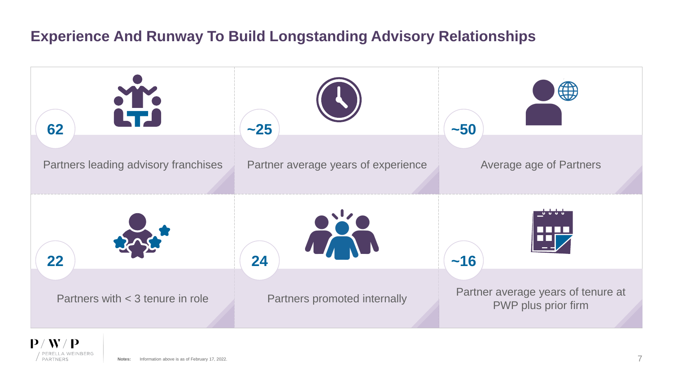## **Experience And Runway To Build Longstanding Advisory Relationships**



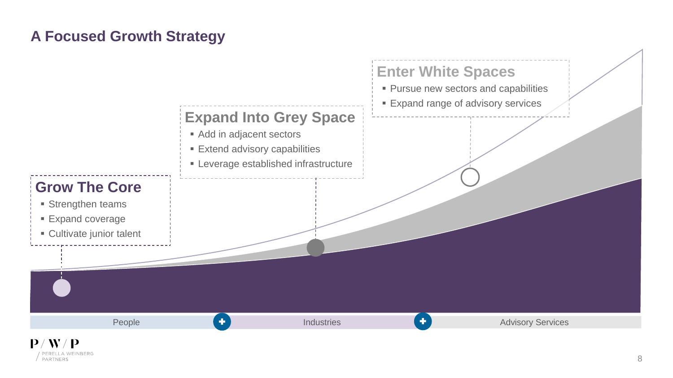## **A Focused Growth Strategy**

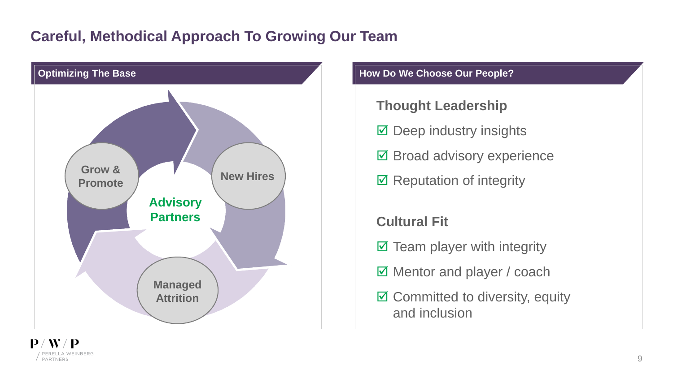### **Careful, Methodical Approach To Growing Our Team**



- **Thought Leadership**
- $\boxtimes$  Deep industry insights
- **Ø Broad advisory experience**
- $\boxtimes$  Reputation of integrity

**Cultural Fit**

- $\boxtimes$  Team player with integrity
- $\boxed{ }$  Mentor and player / coach
- $\boxtimes$  Committed to diversity, equity and inclusion

9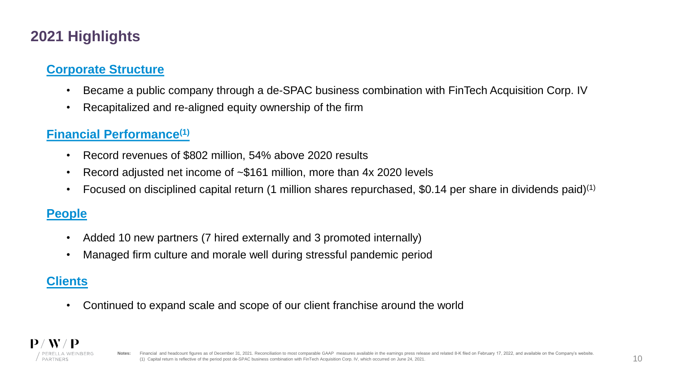# **2021 Highlights**

### **Corporate Structure**

- Became a public company through a de-SPAC business combination with FinTech Acquisition Corp. IV
- Recapitalized and re-aligned equity ownership of the firm

### **Financial Performance(1)**

- Record revenues of \$802 million, 54% above 2020 results
- Record adjusted net income of ~\$161 million, more than 4x 2020 levels
- Focused on disciplined capital return (1 million shares repurchased, \$0.14 per share in dividends paid)<sup>(1)</sup>

### **People**

- Added 10 new partners (7 hired externally and 3 promoted internally)
- Managed firm culture and morale well during stressful pandemic period

### **Clients**

• Continued to expand scale and scope of our client franchise around the world

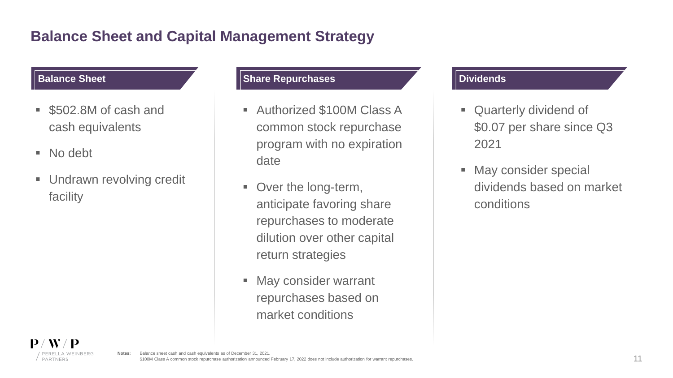# **Balance Sheet and Capital Management Strategy**

- \$502.8M of cash and cash equivalents
- No debt
- **Undrawn revolving credit** facility

### **Balance Sheet Share Repurchases Constanting the Share Repurchases Dividends**

- Authorized \$100M Class A common stock repurchase program with no expiration date
- Over the long-term, anticipate favoring share repurchases to moderate dilution over other capital return strategies
- **E** May consider warrant repurchases based on market conditions

- **Quarterly dividend of** \$0.07 per share since Q3 2021
- May consider special dividends based on market conditions